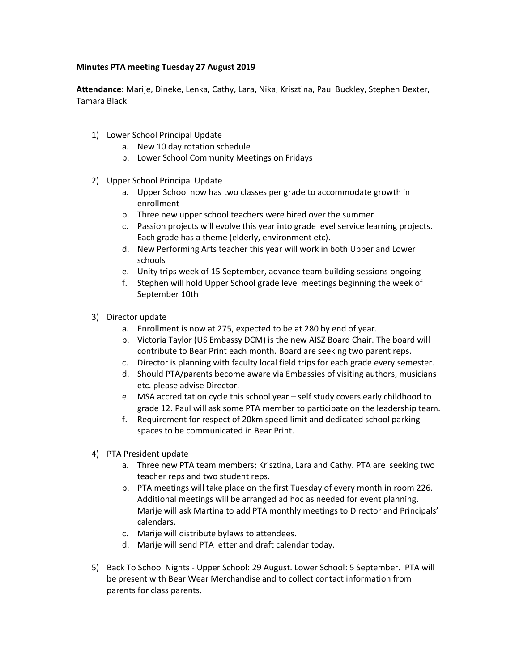## **Minutes PTA meeting Tuesday 27 August 2019**

**Attendance:** Marije, Dineke, Lenka, Cathy, Lara, Nika, Krisztina, Paul Buckley, Stephen Dexter, Tamara Black

- 1) Lower School Principal Update
	- a. New 10 day rotation schedule
	- b. Lower School Community Meetings on Fridays
- 2) Upper School Principal Update
	- a. Upper School now has two classes per grade to accommodate growth in enrollment
	- b. Three new upper school teachers were hired over the summer
	- c. Passion projects will evolve this year into grade level service learning projects. Each grade has a theme (elderly, environment etc).
	- d. New Performing Arts teacher this year will work in both Upper and Lower schools
	- e. Unity trips week of 15 September, advance team building sessions ongoing
	- f. Stephen will hold Upper School grade level meetings beginning the week of September 10th
- 3) Director update
	- a. Enrollment is now at 275, expected to be at 280 by end of year.
	- b. Victoria Taylor (US Embassy DCM) is the new AISZ Board Chair. The board will contribute to Bear Print each month. Board are seeking two parent reps.
	- c. Director is planning with faculty local field trips for each grade every semester.
	- d. Should PTA/parents become aware via Embassies of visiting authors, musicians etc. please advise Director.
	- e. MSA accreditation cycle this school year self study covers early childhood to grade 12. Paul will ask some PTA member to participate on the leadership team.
	- f. Requirement for respect of 20km speed limit and dedicated school parking spaces to be communicated in Bear Print.
- 4) PTA President update
	- a. Three new PTA team members; Krisztina, Lara and Cathy. PTA are seeking two teacher reps and two student reps.
	- b. PTA meetings will take place on the first Tuesday of every month in room 226. Additional meetings will be arranged ad hoc as needed for event planning. Marije will ask Martina to add PTA monthly meetings to Director and Principals' calendars.
	- c. Marije will distribute bylaws to attendees.
	- d. Marije will send PTA letter and draft calendar today.
- 5) Back To School Nights Upper School: 29 August. Lower School: 5 September. PTA will be present with Bear Wear Merchandise and to collect contact information from parents for class parents.